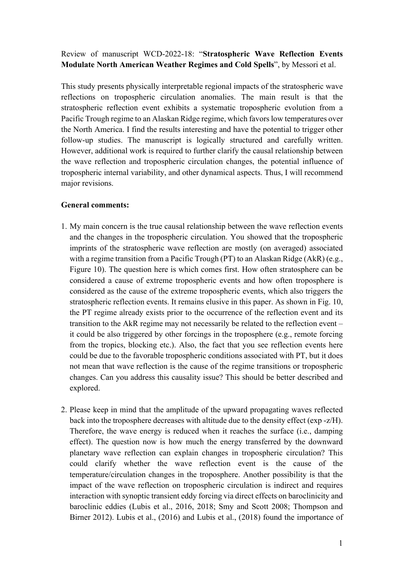Review of manuscript WCD-2022-18: "**Stratospheric Wave Reflection Events Modulate North American Weather Regimes and Cold Spells**", by Messori et al.

This study presents physically interpretable regional impacts of the stratospheric wave reflections on tropospheric circulation anomalies. The main result is that the stratospheric reflection event exhibits a systematic tropospheric evolution from a Pacific Trough regime to an Alaskan Ridge regime, which favors low temperatures over the North America. I find the results interesting and have the potential to trigger other follow-up studies. The manuscript is logically structured and carefully written. However, additional work is required to further clarify the causal relationship between the wave reflection and tropospheric circulation changes, the potential influence of tropospheric internal variability, and other dynamical aspects. Thus, I will recommend major revisions.

## **General comments:**

- 1. My main concern is the true causal relationship between the wave reflection events and the changes in the tropospheric circulation. You showed that the tropospheric imprints of the stratospheric wave reflection are mostly (on averaged) associated with a regime transition from a Pacific Trough (PT) to an Alaskan Ridge (AkR) (e.g., Figure 10). The question here is which comes first. How often stratosphere can be considered a cause of extreme tropospheric events and how often troposphere is considered as the cause of the extreme tropospheric events, which also triggers the stratospheric reflection events. It remains elusive in this paper. As shown in Fig. 10, the PT regime already exists prior to the occurrence of the reflection event and its transition to the AkR regime may not necessarily be related to the reflection event – it could be also triggered by other forcings in the troposphere (e.g., remote forcing from the tropics, blocking etc.). Also, the fact that you see reflection events here could be due to the favorable tropospheric conditions associated with PT, but it does not mean that wave reflection is the cause of the regime transitions or tropospheric changes. Can you address this causality issue? This should be better described and explored.
- 2. Please keep in mind that the amplitude of the upward propagating waves reflected back into the troposphere decreases with altitude due to the density effect (exp -z/H). Therefore, the wave energy is reduced when it reaches the surface (i.e., damping effect). The question now is how much the energy transferred by the downward planetary wave reflection can explain changes in tropospheric circulation? This could clarify whether the wave reflection event is the cause of the temperature/circulation changes in the troposphere. Another possibility is that the impact of the wave reflection on tropospheric circulation is indirect and requires interaction with synoptic transient eddy forcing via direct effects on baroclinicity and baroclinic eddies (Lubis et al., 2016, 2018; Smy and Scott 2008; Thompson and Birner 2012). Lubis et al., (2016) and Lubis et al., (2018) found the importance of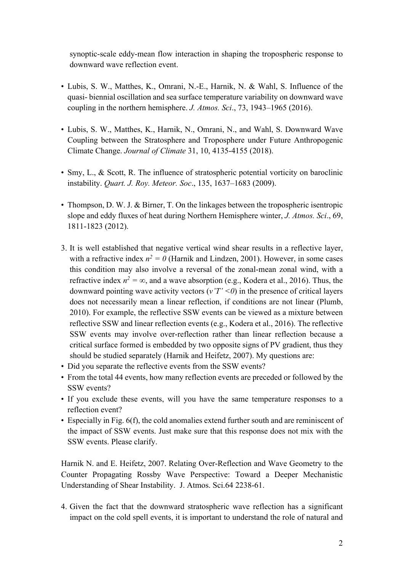synoptic-scale eddy-mean flow interaction in shaping the tropospheric response to downward wave reflection event.

- Lubis, S. W., Matthes, K., Omrani, N.-E., Harnik, N. & Wahl, S. Influence of the quasi- biennial oscillation and sea surface temperature variability on downward wave coupling in the northern hemisphere. *J. Atmos. Sci*., 73, 1943–1965 (2016).
- Lubis, S. W., Matthes, K., Harnik, N., Omrani, N., and Wahl, S. Downward Wave Coupling between the Stratosphere and Troposphere under Future Anthropogenic Climate Change. *Journal of Climate* 31, 10, 4135-4155 (2018).
- Smy, L., & Scott, R. The influence of stratospheric potential vorticity on baroclinic instability. *Quart. J. Roy. Meteor. Soc*., 135, 1637–1683 (2009).
- Thompson, D. W. J. & Birner, T. On the linkages between the tropospheric isentropic slope and eddy fluxes of heat during Northern Hemisphere winter, *J. Atmos. Sci*., 69, 1811-1823 (2012).
- 3. It is well established that negative vertical wind shear results in a reflective layer, with a refractive index  $n^2 = 0$  (Harnik and Lindzen, 2001). However, in some cases this condition may also involve a reversal of the zonal-mean zonal wind, with a refractive index  $n^2 = \infty$ , and a wave absorption (e.g., Kodera et al., 2016). Thus, the downward pointing wave activity vectors (*v'T' <0*) in the presence of critical layers does not necessarily mean a linear reflection, if conditions are not linear (Plumb, 2010). For example, the reflective SSW events can be viewed as a mixture between reflective SSW and linear reflection events (e.g., Kodera et al., 2016). The reflective SSW events may involve over-reflection rather than linear reflection because a critical surface formed is embedded by two opposite signs of PV gradient, thus they should be studied separately (Harnik and Heifetz, 2007). My questions are:
- Did you separate the reflective events from the SSW events?
- From the total 44 events, how many reflection events are preceded or followed by the SSW events?
- If you exclude these events, will you have the same temperature responses to a reflection event?
- Especially in Fig. 6(f), the cold anomalies extend further south and are reminiscent of the impact of SSW events. Just make sure that this response does not mix with the SSW events. Please clarify.

Harnik N. and E. Heifetz, 2007. Relating Over-Reflection and Wave Geometry to the Counter Propagating Rossby Wave Perspective: Toward a Deeper Mechanistic Understanding of Shear Instability. J. Atmos. Sci.64 2238-61.

4. Given the fact that the downward stratospheric wave reflection has a significant impact on the cold spell events, it is important to understand the role of natural and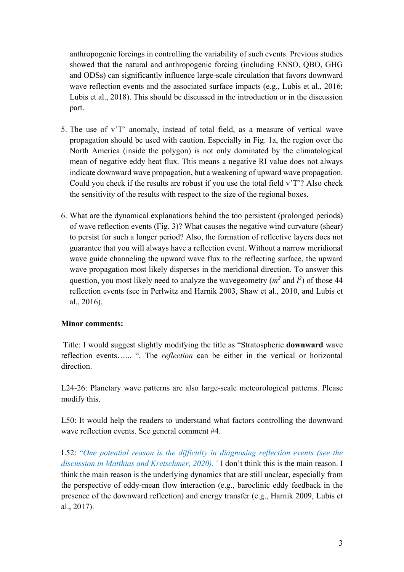anthropogenic forcings in controlling the variability of such events. Previous studies showed that the natural and anthropogenic forcing (including ENSO, QBO, GHG and ODSs) can significantly influence large-scale circulation that favors downward wave reflection events and the associated surface impacts (e.g., Lubis et al., 2016; Lubis et al., 2018). This should be discussed in the introduction or in the discussion part.

- 5. The use of v'T' anomaly, instead of total field, as a measure of vertical wave propagation should be used with caution. Especially in Fig. 1a, the region over the North America (inside the polygon) is not only dominated by the climatological mean of negative eddy heat flux. This means a negative RI value does not always indicate downward wave propagation, but a weakening of upward wave propagation. Could you check if the results are robust if you use the total field v'T'? Also check the sensitivity of the results with respect to the size of the regional boxes.
- 6. What are the dynamical explanations behind the too persistent (prolonged periods) of wave reflection events (Fig. 3)? What causes the negative wind curvature (shear) to persist for such a longer period? Also, the formation of reflective layers does not guarantee that you will always have a reflection event. Without a narrow meridional wave guide channeling the upward wave flux to the reflecting surface, the upward wave propagation most likely disperses in the meridional direction. To answer this question, you most likely need to analyze the wavegeometry ( $m^2$  and  $l^2$ ) of those 44 reflection events (see in Perlwitz and Harnik 2003, Shaw et al., 2010, and Lubis et al., 2016).

## **Minor comments:**

Title: I would suggest slightly modifying the title as "Stratospheric **downward** wave reflection events…... "*.* The *reflection* can be either in the vertical or horizontal direction.

L24-26: Planetary wave patterns are also large-scale meteorological patterns. Please modify this.

L50: It would help the readers to understand what factors controlling the downward wave reflection events. See general comment #4.

L52: "*One potential reason is the difficulty in diagnosing reflection events (see the discussion in Matthias and Kretschmer, 2020)."* I don't think this is the main reason. I think the main reason is the underlying dynamics that are still unclear, especially from the perspective of eddy-mean flow interaction (e.g., baroclinic eddy feedback in the presence of the downward reflection) and energy transfer (e.g., Harnik 2009, Lubis et al., 2017).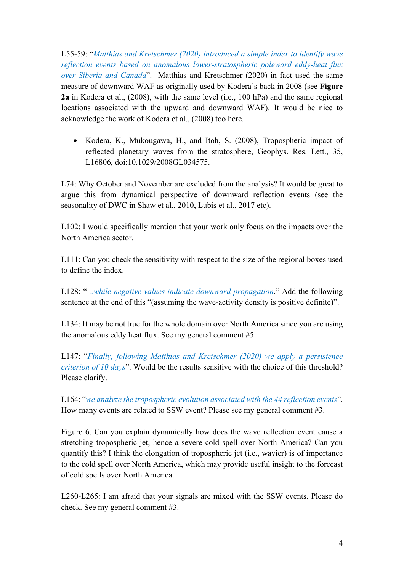L55-59: "*Matthias and Kretschmer (2020) introduced a simple index to identify wave reflection events based on anomalous lower-stratospheric poleward eddy-heat flux over Siberia and Canada*". Matthias and Kretschmer (2020) in fact used the same measure of downward WAF as originally used by Kodera's back in 2008 (see **Figure 2a** in Kodera et al., (2008), with the same level (i.e., 100 hPa) and the same regional locations associated with the upward and downward WAF). It would be nice to acknowledge the work of Kodera et al., (2008) too here.

• Kodera, K., Mukougawa, H., and Itoh, S. (2008), Tropospheric impact of reflected planetary waves from the stratosphere, Geophys. Res. Lett., 35, L16806, doi:10.1029/2008GL034575.

L74: Why October and November are excluded from the analysis? It would be great to argue this from dynamical perspective of downward reflection events (see the seasonality of DWC in Shaw et al., 2010, Lubis et al., 2017 etc).

L102: I would specifically mention that your work only focus on the impacts over the North America sector.

L111: Can you check the sensitivity with respect to the size of the regional boxes used to define the index.

L128: " *..while negative values indicate downward propagation*." Add the following sentence at the end of this "(assuming the wave-activity density is positive definite)".

L134: It may be not true for the whole domain over North America since you are using the anomalous eddy heat flux. See my general comment #5.

L147: "*Finally, following Matthias and Kretschmer (2020) we apply a persistence criterion of 10 days*". Would be the results sensitive with the choice of this threshold? Please clarify.

L164: "*we analyze the tropospheric evolution associated with the 44 reflection events*". How many events are related to SSW event? Please see my general comment #3.

Figure 6. Can you explain dynamically how does the wave reflection event cause a stretching tropospheric jet, hence a severe cold spell over North America? Can you quantify this? I think the elongation of tropospheric jet (i.e., wavier) is of importance to the cold spell over North America, which may provide useful insight to the forecast of cold spells over North America.

L260-L265: I am afraid that your signals are mixed with the SSW events. Please do check. See my general comment #3.